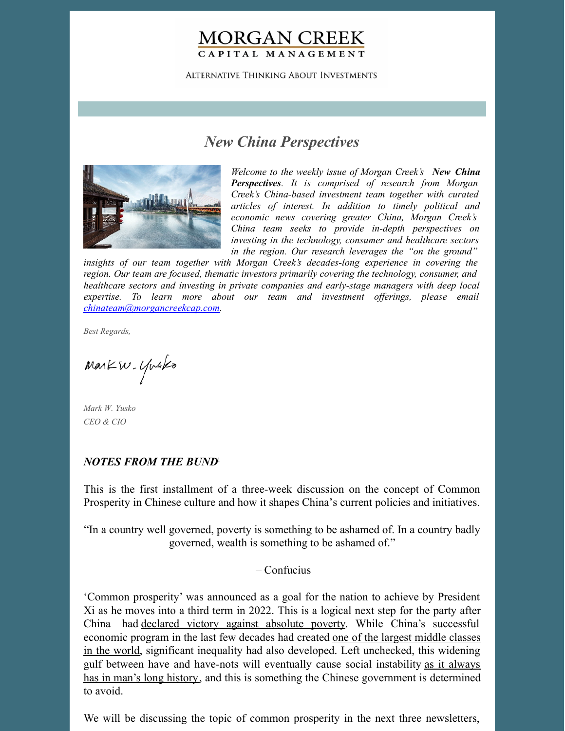## **MORGAN CREEK** CAPITAL MANAGEMENT

**ALTERNATIVE THINKING ABOUT INVESTMENTS** 

# *New China Perspectives*



*Welcome to the weekly issue of Morgan Creek's New China Perspectives. It is comprised of research from Morgan Creek's China-based investment team together with curated articles of interest. In addition to timely political and economic news covering greater China, Morgan Creek's China team seeks to provide in-depth perspectives on investing in the technology, consumer and healthcare sectors in the region. Our research leverages the "on the ground"*

*insights of our team together with Morgan Creek's decades-long experience in covering the region. Our team are focused, thematic investors primarily covering the technology, consumer, and healthcare sectors and investing in private companies and early-stage managers with deep local expertise. To learn more about our team and investment of erings, please email [chinateam@morgancreekcap.com](mailto:chinateam@morgancreekcap.com).*

*Best Regards,*

Markw. Yusko

*Mark W. Yusko CEO & CIO*

#### *NOTES FROM THE BUND* 1

This is the first installment of a three-week discussion on the concept of Common Prosperity in Chinese culture and how it shapes China's current policies and initiatives.

"In a country well governed, poverty is something to be ashamed of. In a country badly governed, wealth is something to be ashamed of."

– Confucius

'Common prosperity' was announced as a goal for the nation to achieve by President Xi as he moves into a third term in 2022. This is a logical next step for the party after China had [declared](https://www.bbc.com/news/world-asia-china-56194622) victory against absolute poverty. While China's successful economic program in the last few decades had created one of the largest middle classes in the world, significant inequality had also developed. Left [unchecked,](https://www.brookings.edu/wp-content/uploads/2020/10/fp_20201012_china_middle_class_kharas_dooley.pdf) this widening gulf between have and have-nots will eventually cause social instability as it always has in man's long history, and this is something the Chinese [government](https://news.stanford.edu/2017/01/24/stanford-historian-uncovers-grim-correlation-violence-inequality-millennia/) is determined to avoid.

We will be discussing the topic of common prosperity in the next three newsletters,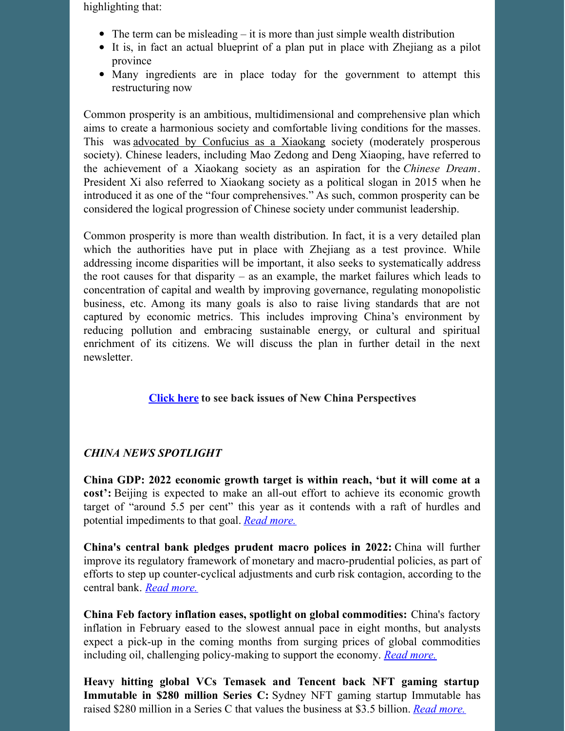highlighting that:

- $\bullet$  The term can be misleading it is more than just simple wealth distribution
- It is, in fact an actual blueprint of a plan put in place with Zhejiang as a pilot province
- Many ingredients are in place today for the government to attempt this restructuring now

Common prosperity is an ambitious, multidimensional and comprehensive plan which aims to create a harmonious society and comfortable living conditions for the masses. This was advocated by [Confucius](https://www.scmp.com/economy/china-economy/article/3139060/confucius-called-it-xiaokang-and-it-worth-celebrating-well) as a Xiaokang society (moderately prosperous society). Chinese leaders, including Mao Zedong and Deng Xiaoping, have referred to the achievement of a Xiaokang society as an aspiration for the *Chinese Dream*. President Xi also referred to Xiaokang society as a political slogan in 2015 when he introduced it as one of the "four comprehensives." As such, common prosperity can be considered the logical progression of Chinese society under communist leadership.

Common prosperity is more than wealth distribution. In fact, it is a very detailed plan which the authorities have put in place with Zhejiang as a test province. While addressing income disparities will be important, it also seeks to systematically address the root causes for that disparity – as an example, the market failures which leads to concentration of capital and wealth by improving governance, regulating monopolistic business, etc. Among its many goals is also to raise living standards that are not captured by economic metrics. This includes improving China's environment by reducing pollution and embracing sustainable energy, or cultural and spiritual enrichment of its citizens. We will discuss the plan in further detail in the next newsletter.

### **[Click](https://www.morgancreekcap.com/market-commentary/#investment-process) here to see back issues of New China Perspectives**

#### *CHINA NEWS SPOTLIGHT*

**China GDP: 2022 economic growth target is within reach, 'but it will come at a cost':** Beijing is expected to make an all-out effort to achieve its economic growth target of "around 5.5 per cent" this year as it contends with a raft of hurdles and potential impediments to that goal. *Read [more.](https://www.scmp.com/economy/china-economy/article/3170010/china-gdp-2022-economic-growth-target-within-reach-it-will)*

**China's central bank pledges prudent macro polices in 2022:** China will further improve its regulatory framework of monetary and macro-prudential policies, as part of efforts to step up counter-cyclical adjustments and curb risk contagion, according to the central bank. *Read [more.](https://english.news.cn/20220302/aa5a4e3db40944ff8a884f3f2c2112bd/c.html)*

**China Feb factory inflation eases, spotlight on global commodities:** China's factory inflation in February eased to the slowest annual pace in eight months, but analysts expect a pick-up in the coming months from surging prices of global commodities including oil, challenging policy-making to support the economy. *Read [more.](https://www.reuters.com/world/china/chinas-feb-ppi-88-yy-cpi-09-yy-2022-03-09/)*

**Heavy hitting global VCs Temasek and Tencent back NFT gaming startup Immutable in \$280 million Series C:** Sydney NFT gaming startup Immutable has raised \$280 million in a Series C that values the business at \$3.5 billion. *Read [more.](https://www.startupdaily.net/2022/03/heavy-hitting-global-vcs-temasek-and-tencent-back-nft-gaming-startup-immutable-in-280-million-series-c/)*